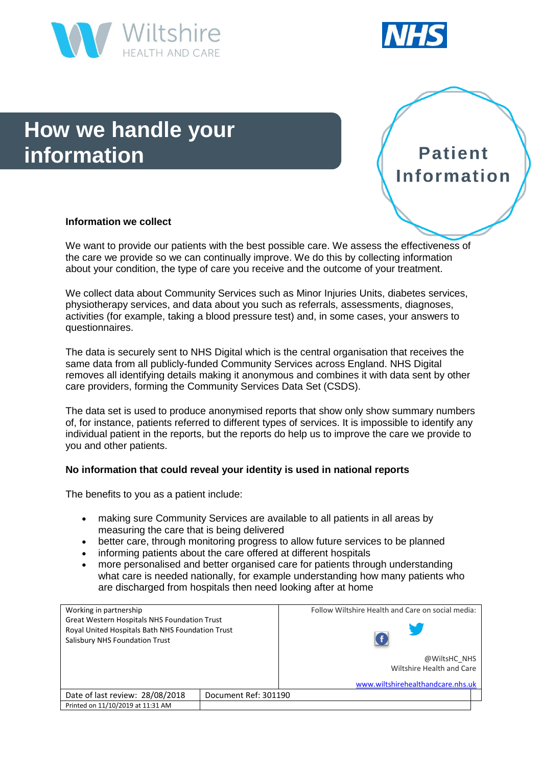



# **How we handle your information**



# **Information we collect**

We want to provide our patients with the best possible care. We assess the effectiveness of the care we provide so we can continually improve. We do this by collecting information about your condition, the type of care you receive and the outcome of your treatment.

We collect data about Community Services such as Minor Injuries Units, diabetes services, physiotherapy services, and data about you such as referrals, assessments, diagnoses, activities (for example, taking a blood pressure test) and, in some cases, your answers to questionnaires.

The data is securely sent to NHS Digital which is the central organisation that receives the same data from all publicly-funded Community Services across England. NHS Digital removes all identifying details making it anonymous and combines it with data sent by other care providers, forming the Community Services Data Set (CSDS).

The data set is used to produce anonymised reports that show only show summary numbers of, for instance, patients referred to different types of services. It is impossible to identify any individual patient in the reports, but the reports do help us to improve the care we provide to you and other patients.

## **No information that could reveal your identity is used in national reports**

The benefits to you as a patient include:

- making sure Community Services are available to all patients in all areas by measuring the care that is being delivered
- better care, through monitoring progress to allow future services to be planned
- informing patients about the care offered at different hospitals
- more personalised and better organised care for patients through understanding what care is needed nationally, for example understanding how many patients who are discharged from hospitals then need looking after at home

| Working in partnership                                                                                                                    |                      | Follow Wiltshire Health and Care on social media: |
|-------------------------------------------------------------------------------------------------------------------------------------------|----------------------|---------------------------------------------------|
| <b>Great Western Hospitals NHS Foundation Trust</b><br>Royal United Hospitals Bath NHS Foundation Trust<br>Salisbury NHS Foundation Trust |                      |                                                   |
|                                                                                                                                           |                      | @WiltsHC NHS<br>Wiltshire Health and Care         |
|                                                                                                                                           |                      | www.wiltshirehealthandcare.nhs.uk                 |
| Date of last review: 28/08/2018                                                                                                           | Document Ref: 301190 |                                                   |
| Printed on 11/10/2019 at 11:31 AM                                                                                                         |                      |                                                   |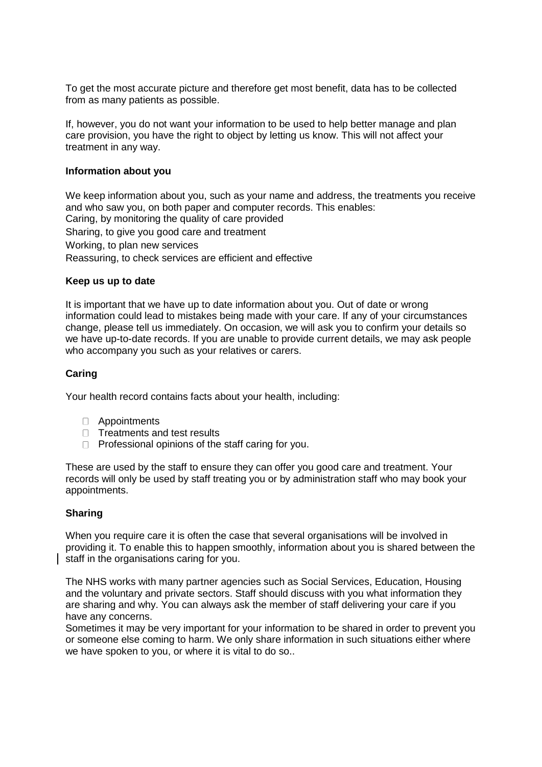To get the most accurate picture and therefore get most benefit, data has to be collected from as many patients as possible.

If, however, you do not want your information to be used to help better manage and plan care provision, you have the right to object by letting us know. This will not affect your treatment in any way.

## **Information about you**

We keep information about you, such as your name and address, the treatments you receive and who saw you, on both paper and computer records. This enables: Caring, by monitoring the quality of care provided Sharing, to give you good care and treatment Working, to plan new services Reassuring, to check services are efficient and effective

#### **Keep us up to date**

It is important that we have up to date information about you. Out of date or wrong information could lead to mistakes being made with your care. If any of your circumstances change, please tell us immediately. On occasion, we will ask you to confirm your details so we have up-to-date records. If you are unable to provide current details, we may ask people who accompany you such as your relatives or carers.

## **Caring**

Your health record contains facts about your health, including:

- Appointments
- $\Box$  Treatments and test results
- $\Box$  Professional opinions of the staff caring for you.

These are used by the staff to ensure they can offer you good care and treatment. Your records will only be used by staff treating you or by administration staff who may book your appointments.

#### **Sharing**

When you require care it is often the case that several organisations will be involved in providing it. To enable this to happen smoothly, information about you is shared between the staff in the organisations caring for you.

The NHS works with many partner agencies such as Social Services, Education, Housing and the voluntary and private sectors. Staff should discuss with you what information they are sharing and why. You can always ask the member of staff delivering your care if you have any concerns.

Sometimes it may be very important for your information to be shared in order to prevent you or someone else coming to harm. We only share information in such situations either where we have spoken to you, or where it is vital to do so..